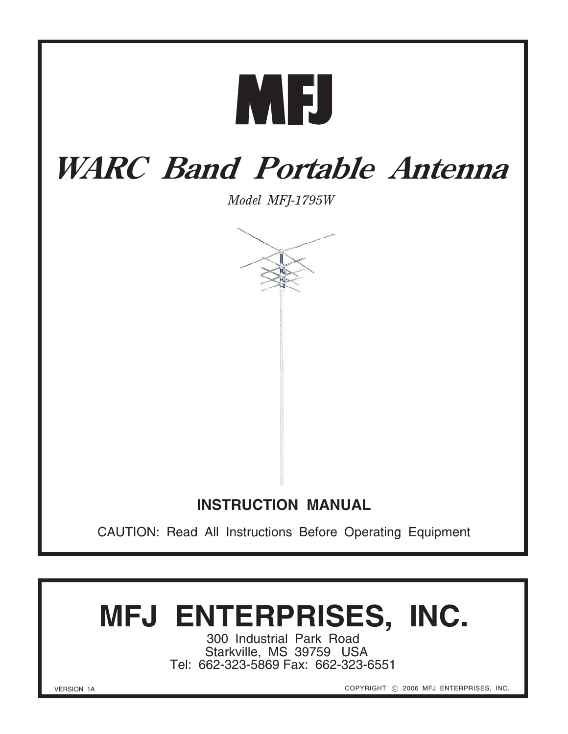

## **WARC Band Portable Antenna**

*Model MFJ-1795W*



## **INSTRUCTION MANUAL**

CAUTION: Read All Instructions Before Operating Equipment

# **MFJ ENTERPRISES, INC.**

300 Industrial Park Road Starkville, MS 39759 USA Tel: 662-323-5869 Fax: 662-323-6551

VERSION 1A

COPYRIGHT © 2006 MFJ ENTERPRISES, INC.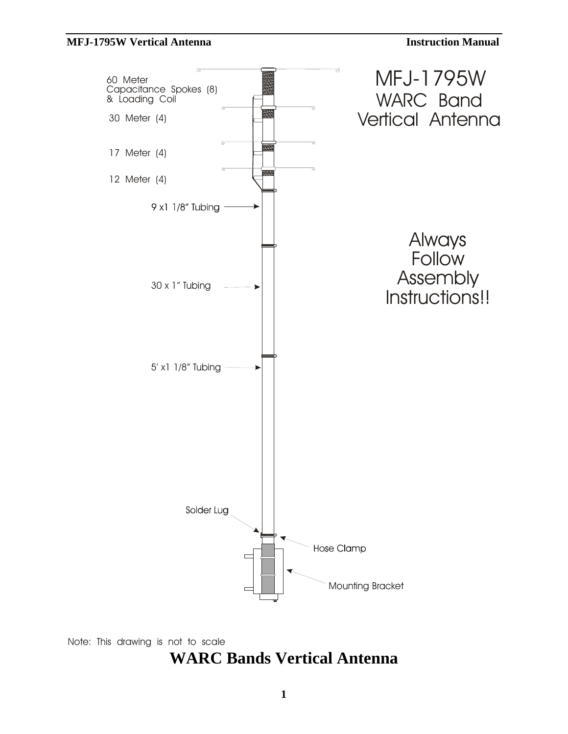

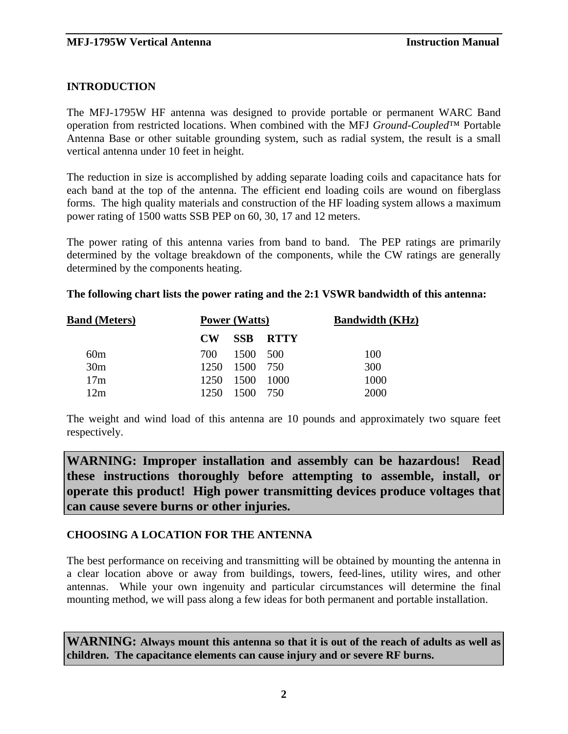#### **INTRODUCTION**

The MFJ-1795W HF antenna was designed to provide portable or permanent WARC Band operation from restricted locations. When combined with the MFJ *Ground-Coupled*™ Portable Antenna Base or other suitable grounding system, such as radial system, the result is a small vertical antenna under 10 feet in height.

The reduction in size is accomplished by adding separate loading coils and capacitance hats for each band at the top of the antenna. The efficient end loading coils are wound on fiberglass forms. The high quality materials and construction of the HF loading system allows a maximum power rating of 1500 watts SSB PEP on 60, 30, 17 and 12 meters.

The power rating of this antenna varies from band to band. The PEP ratings are primarily determined by the voltage breakdown of the components, while the CW ratings are generally determined by the components heating.

#### **The following chart lists the power rating and the 2:1 VSWR bandwidth of this antenna:**

| <b>Band (Meters)</b> | <b>Power (Watts)</b> |                |              | <b>Bandwidth (KHz)</b> |
|----------------------|----------------------|----------------|--------------|------------------------|
|                      | $\bf CW$             |                | – SSB – RTTY |                        |
| 60m                  |                      | 700 1500 500   |              | 100                    |
| 30 <sub>m</sub>      |                      | 1250 1500 750  |              | 300                    |
| 17m                  |                      | 1250 1500 1000 |              | 1000                   |
| 12m                  | 1250.                | 1500 750       |              | 2000                   |

The weight and wind load of this antenna are 10 pounds and approximately two square feet respectively.

**WARNING: Improper installation and assembly can be hazardous! Read these instructions thoroughly before attempting to assemble, install, or operate this product! High power transmitting devices produce voltages that can cause severe burns or other injuries.** 

#### **CHOOSING A LOCATION FOR THE ANTENNA**

The best performance on receiving and transmitting will be obtained by mounting the antenna in a clear location above or away from buildings, towers, feed-lines, utility wires, and other antennas. While your own ingenuity and particular circumstances will determine the final mounting method, we will pass along a few ideas for both permanent and portable installation.

**WARNING: Always mount this antenna so that it is out of the reach of adults as well as children. The capacitance elements can cause injury and or severe RF burns.**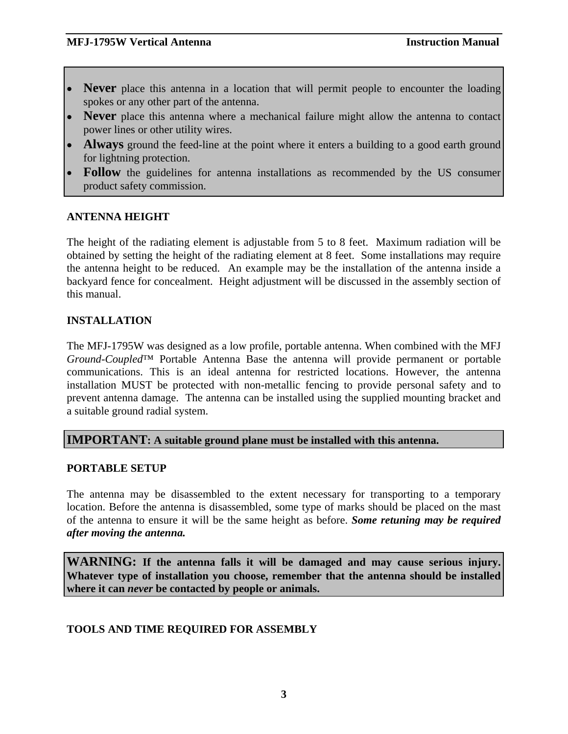- **Never** place this antenna in a location that will permit people to encounter the loading spokes or any other part of the antenna.
- **Never** place this antenna where a mechanical failure might allow the antenna to contact power lines or other utility wires.
- **Always** ground the feed-line at the point where it enters a building to a good earth ground for lightning protection.
- **Follow** the guidelines for antenna installations as recommended by the US consumer product safety commission.

#### **ANTENNA HEIGHT**

The height of the radiating element is adjustable from 5 to 8 feet. Maximum radiation will be obtained by setting the height of the radiating element at 8 feet. Some installations may require the antenna height to be reduced. An example may be the installation of the antenna inside a backyard fence for concealment. Height adjustment will be discussed in the assembly section of this manual.

#### **INSTALLATION**

The MFJ-1795W was designed as a low profile, portable antenna. When combined with the MFJ *Ground-Coupled*™ Portable Antenna Base the antenna will provide permanent or portable communications. This is an ideal antenna for restricted locations. However, the antenna installation MUST be protected with non-metallic fencing to provide personal safety and to prevent antenna damage. The antenna can be installed using the supplied mounting bracket and a suitable ground radial system.

#### **IMPORTANT: A suitable ground plane must be installed with this antenna.**

#### **PORTABLE SETUP**

The antenna may be disassembled to the extent necessary for transporting to a temporary location. Before the antenna is disassembled, some type of marks should be placed on the mast of the antenna to ensure it will be the same height as before. *Some retuning may be required after moving the antenna.*

**WARNING: If the antenna falls it will be damaged and may cause serious injury. Whatever type of installation you choose, remember that the antenna should be installed where it can** *never* **be contacted by people or animals.** 

#### **TOOLS AND TIME REQUIRED FOR ASSEMBLY**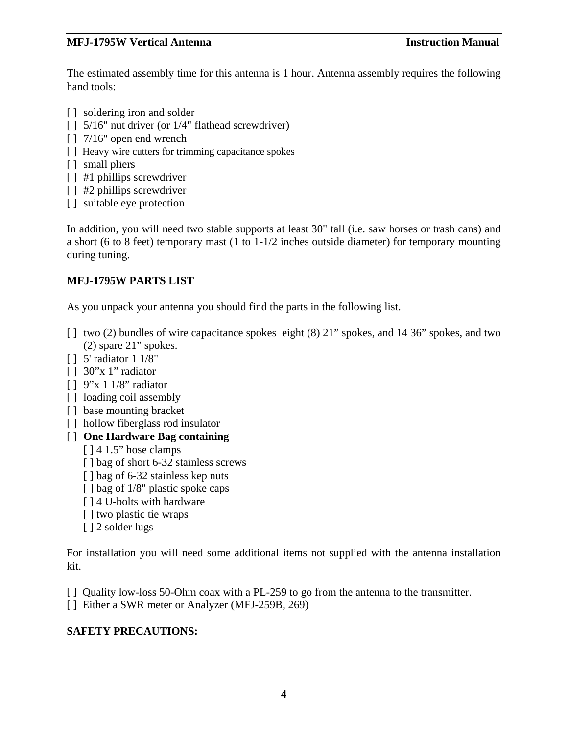The estimated assembly time for this antenna is 1 hour. Antenna assembly requires the following hand tools:

- [ ] soldering iron and solder
- [ ] 5/16" nut driver (or  $1/4$ " flathead screwdriver)
- [ ] 7/16" open end wrench
- [] Heavy wire cutters for trimming capacitance spokes
- [ ] small pliers
- [ ] #1 phillips screwdriver
- [ ] #2 phillips screwdriver
- [ ] suitable eye protection

In addition, you will need two stable supports at least 30" tall (i.e. saw horses or trash cans) and a short (6 to 8 feet) temporary mast (1 to 1-1/2 inches outside diameter) for temporary mounting during tuning.

#### **MFJ-1795W PARTS LIST**

As you unpack your antenna you should find the parts in the following list.

- [] two (2) bundles of wire capacitance spokes eight (8) 21" spokes, and 14 36" spokes, and two (2) spare 21" spokes.
- [ ] 5' radiator 1 1/8"
- $\lceil$   $\rceil$  30"x 1" radiator
- [ ] 9"x 1 1/8" radiator
- [] loading coil assembly
- [] base mounting bracket
- [] hollow fiberglass rod insulator
- [ ] **One Hardware Bag containing**
	- [  $14$  1.5" hose clamps
	- [] bag of short 6-32 stainless screws
	- [ ] bag of 6-32 stainless kep nuts
	- [ ] bag of  $1/8$ " plastic spoke caps
	- [ ] 4 U-bolts with hardware
	- [] two plastic tie wraps
	- [ ] 2 solder lugs

For installation you will need some additional items not supplied with the antenna installation kit.

- [ ] Quality low-loss 50-Ohm coax with a PL-259 to go from the antenna to the transmitter.
- [ ] Either a SWR meter or Analyzer (MFJ-259B, 269)

#### **SAFETY PRECAUTIONS:**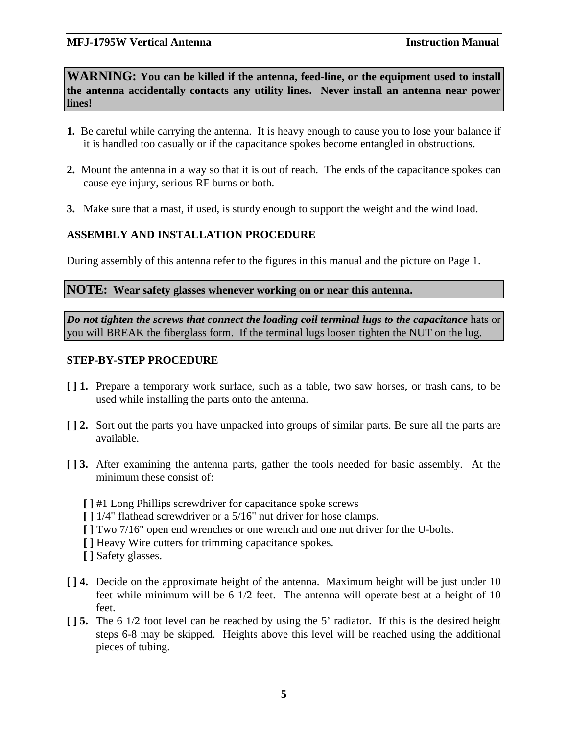**WARNING: You can be killed if the antenna, feed-line, or the equipment used to install the antenna accidentally contacts any utility lines. Never install an antenna near power lines!**

- **1.** Be careful while carrying the antenna. It is heavy enough to cause you to lose your balance if it is handled too casually or if the capacitance spokes become entangled in obstructions.
- **2.** Mount the antenna in a way so that it is out of reach. The ends of the capacitance spokes can cause eye injury, serious RF burns or both.
- **3.** Make sure that a mast, if used, is sturdy enough to support the weight and the wind load.

#### **ASSEMBLY AND INSTALLATION PROCEDURE**

During assembly of this antenna refer to the figures in this manual and the picture on Page 1.

**NOTE: Wear safety glasses whenever working on or near this antenna.** 

*Do not tighten the screws that connect the loading coil terminal lugs to the capacitance* hats or you will BREAK the fiberglass form. If the terminal lugs loosen tighten the NUT on the lug.

#### **STEP-BY-STEP PROCEDURE**

- **[ ] 1.** Prepare a temporary work surface, such as a table, two saw horses, or trash cans, to be used while installing the parts onto the antenna.
- **[ ] 2.** Sort out the parts you have unpacked into groups of similar parts. Be sure all the parts are available.
- **[ ] 3.** After examining the antenna parts, gather the tools needed for basic assembly. At the minimum these consist of:
	- **[ ]** #1 Long Phillips screwdriver for capacitance spoke screws
	- **[ ]** 1/4" flathead screwdriver or a 5/16" nut driver for hose clamps.
	- **[ ]** Two 7/16" open end wrenches or one wrench and one nut driver for the U-bolts.
	- **[ ]** Heavy Wire cutters for trimming capacitance spokes.
	- **[ ]** Safety glasses.
- **[ ] 4.** Decide on the approximate height of the antenna. Maximum height will be just under 10 feet while minimum will be 6 1/2 feet. The antenna will operate best at a height of 10 feet.
- **[ ] 5.** The 6 1/2 foot level can be reached by using the 5' radiator. If this is the desired height steps 6-8 may be skipped. Heights above this level will be reached using the additional pieces of tubing.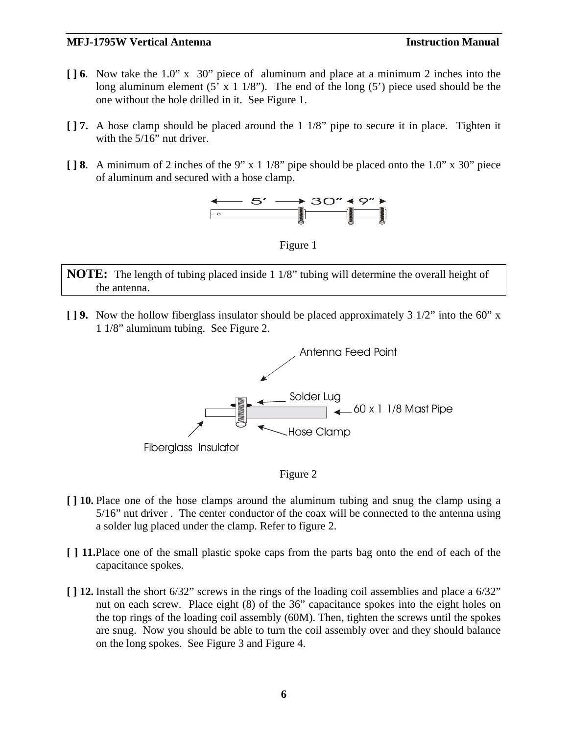- **[ ] 6**. Now take the 1.0" x 30" piece of aluminum and place at a minimum 2 inches into the long aluminum element  $(5' \times 1 \frac{1}{8})$ . The end of the long  $(5')$  piece used should be the one without the hole drilled in it. See Figure 1.
- **[ ] 7.** A hose clamp should be placed around the 1 1/8" pipe to secure it in place. Tighten it with the 5/16" nut driver.
- **[ ] 8**. A minimum of 2 inches of the 9" x 1 1/8" pipe should be placed onto the 1.0" x 30" piece of aluminum and secured with a hose clamp.



Figure 1

**NOTE:** The length of tubing placed inside 1 1/8" tubing will determine the overall height of the antenna.

**[ ] 9.** Now the hollow fiberglass insulator should be placed approximately 3 1/2" into the 60" x 1 1/8" aluminum tubing. See Figure 2.



Figure 2

- **[ ] 10.** Place one of the hose clamps around the aluminum tubing and snug the clamp using a 5/16" nut driver . The center conductor of the coax will be connected to the antenna using a solder lug placed under the clamp. Refer to figure 2.
- **[ ] 11.**Place one of the small plastic spoke caps from the parts bag onto the end of each of the capacitance spokes.
- **[ ] 12.** Install the short 6/32" screws in the rings of the loading coil assemblies and place a 6/32" nut on each screw. Place eight (8) of the 36" capacitance spokes into the eight holes on the top rings of the loading coil assembly (60M). Then, tighten the screws until the spokes are snug. Now you should be able to turn the coil assembly over and they should balance on the long spokes. See Figure 3 and Figure 4.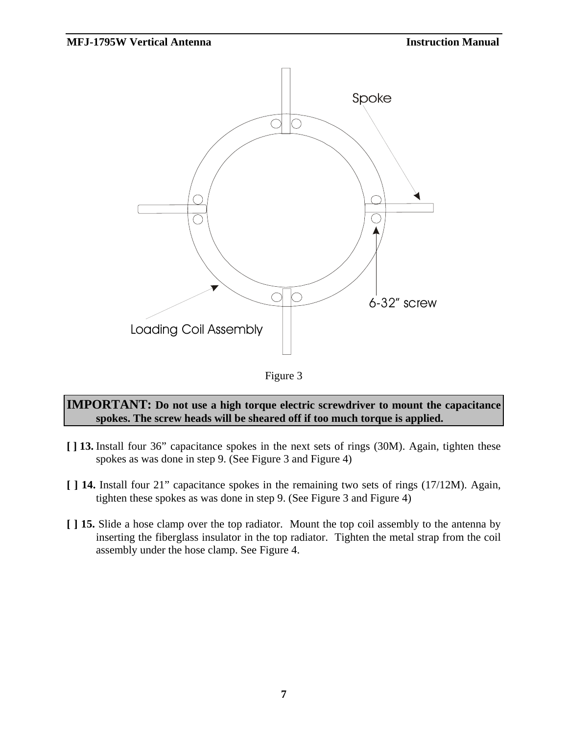

Figure 3

#### **IMPORTANT: Do not use a high torque electric screwdriver to mount the capacitance spokes. The screw heads will be sheared off if too much torque is applied.**

- **[ ] 13.** Install four 36" capacitance spokes in the next sets of rings (30M). Again, tighten these spokes as was done in step 9. (See Figure 3 and Figure 4)
- **[ ] 14.** Install four 21" capacitance spokes in the remaining two sets of rings (17/12M). Again, tighten these spokes as was done in step 9. (See Figure 3 and Figure 4)
- **[ ] 15.** Slide a hose clamp over the top radiator. Mount the top coil assembly to the antenna by inserting the fiberglass insulator in the top radiator. Tighten the metal strap from the coil assembly under the hose clamp. See Figure 4.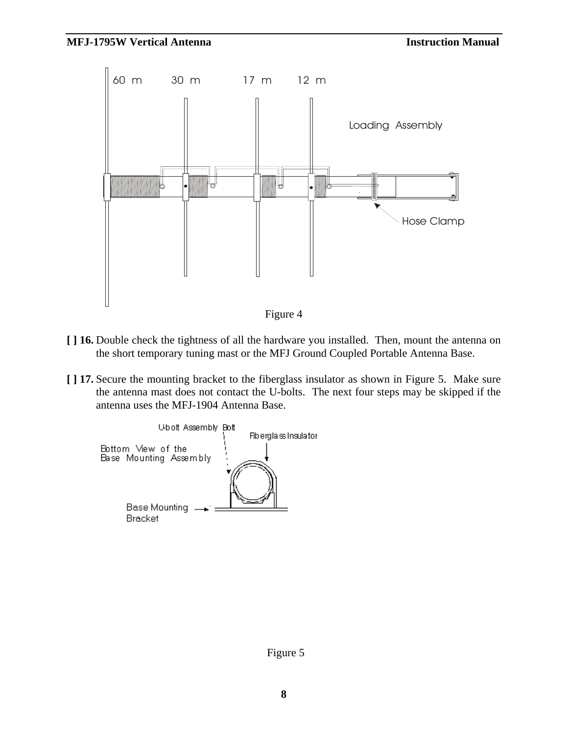

- Figure 4
- **[ ] 16.** Double check the tightness of all the hardware you installed. Then, mount the antenna on the short temporary tuning mast or the MFJ Ground Coupled Portable Antenna Base.
- **[ ] 17.** Secure the mounting bracket to the fiberglass insulator as shown in Figure 5. Make sure the antenna mast does not contact the U-bolts. The next four steps may be skipped if the antenna uses the MFJ-1904 Antenna Base.

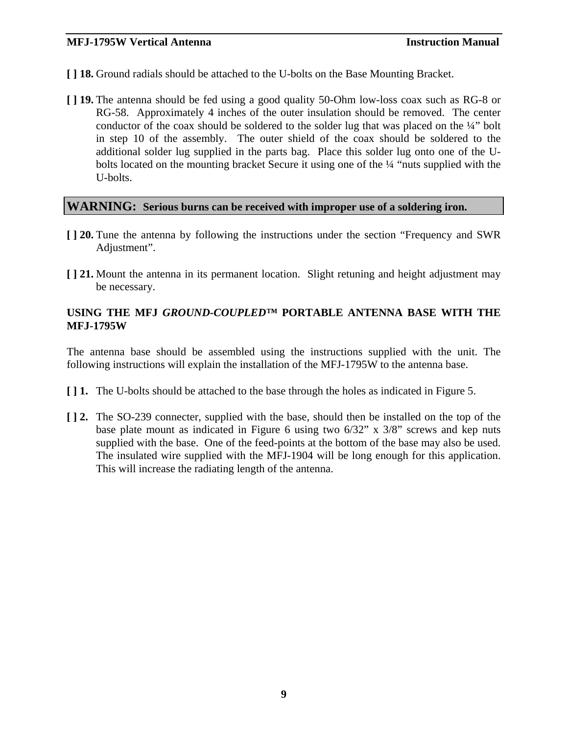- **[ ] 18.** Ground radials should be attached to the U-bolts on the Base Mounting Bracket.
- **[ ] 19.** The antenna should be fed using a good quality 50-Ohm low-loss coax such as RG-8 or RG-58. Approximately 4 inches of the outer insulation should be removed. The center conductor of the coax should be soldered to the solder lug that was placed on the ¼" bolt in step 10 of the assembly. The outer shield of the coax should be soldered to the additional solder lug supplied in the parts bag. Place this solder lug onto one of the Ubolts located on the mounting bracket Secure it using one of the ¼ "nuts supplied with the U-bolts.

#### **WARNING: Serious burns can be received with improper use of a soldering iron.**

- **[ ] 20.** Tune the antenna by following the instructions under the section "Frequency and SWR Adjustment".
- **[ ] 21.** Mount the antenna in its permanent location. Slight retuning and height adjustment may be necessary.

#### **USING THE MFJ** *GROUND-COUPLED™* **PORTABLE ANTENNA BASE WITH THE MFJ-1795W**

The antenna base should be assembled using the instructions supplied with the unit. The following instructions will explain the installation of the MFJ-1795W to the antenna base.

- **[ ] 1.** The U-bolts should be attached to the base through the holes as indicated in Figure 5.
- **[ ] 2.** The SO-239 connecter, supplied with the base, should then be installed on the top of the base plate mount as indicated in Figure 6 using two 6/32" x 3/8" screws and kep nuts supplied with the base. One of the feed-points at the bottom of the base may also be used. The insulated wire supplied with the MFJ-1904 will be long enough for this application. This will increase the radiating length of the antenna.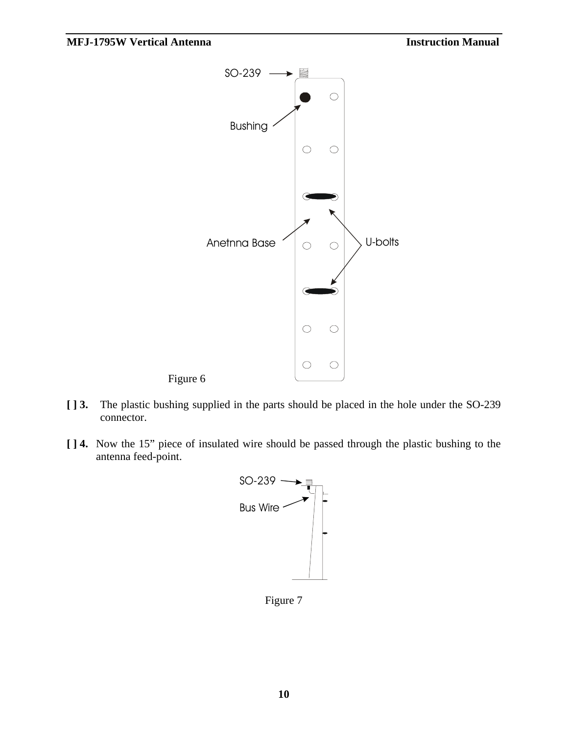

- **[ ] 3.** The plastic bushing supplied in the parts should be placed in the hole under the SO-239 connector.
- **[ ] 4.** Now the 15" piece of insulated wire should be passed through the plastic bushing to the antenna feed-point.



Figure 7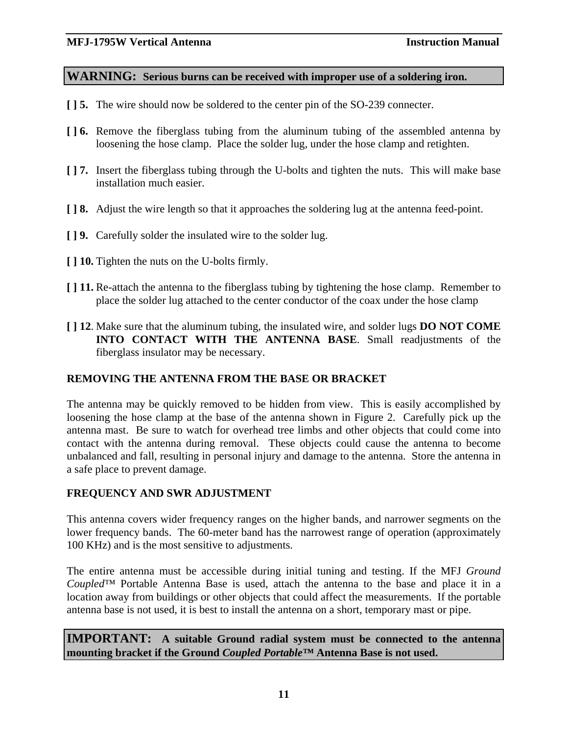#### **WARNING: Serious burns can be received with improper use of a soldering iron.**

- **[ ] 5.** The wire should now be soldered to the center pin of the SO-239 connecter.
- **[ ] 6.** Remove the fiberglass tubing from the aluminum tubing of the assembled antenna by loosening the hose clamp. Place the solder lug, under the hose clamp and retighten.
- **[ ] 7.** Insert the fiberglass tubing through the U-bolts and tighten the nuts. This will make base installation much easier.
- **[ ] 8.** Adjust the wire length so that it approaches the soldering lug at the antenna feed-point.
- **[ ] 9.** Carefully solder the insulated wire to the solder lug.
- **[ ] 10.** Tighten the nuts on the U-bolts firmly.
- **[ ] 11.** Re-attach the antenna to the fiberglass tubing by tightening the hose clamp. Remember to place the solder lug attached to the center conductor of the coax under the hose clamp
- **[ ] 12**. Make sure that the aluminum tubing, the insulated wire, and solder lugs **DO NOT COME INTO CONTACT WITH THE ANTENNA BASE**. Small readjustments of the fiberglass insulator may be necessary.

#### **REMOVING THE ANTENNA FROM THE BASE OR BRACKET**

The antenna may be quickly removed to be hidden from view. This is easily accomplished by loosening the hose clamp at the base of the antenna shown in Figure 2. Carefully pick up the antenna mast. Be sure to watch for overhead tree limbs and other objects that could come into contact with the antenna during removal. These objects could cause the antenna to become unbalanced and fall, resulting in personal injury and damage to the antenna. Store the antenna in a safe place to prevent damage.

#### **FREQUENCY AND SWR ADJUSTMENT**

This antenna covers wider frequency ranges on the higher bands, and narrower segments on the lower frequency bands. The 60-meter band has the narrowest range of operation (approximately 100 KHz) and is the most sensitive to adjustments.

The entire antenna must be accessible during initial tuning and testing. If the MFJ *Ground Coupled™* Portable Antenna Base is used, attach the antenna to the base and place it in a location away from buildings or other objects that could affect the measurements. If the portable antenna base is not used, it is best to install the antenna on a short, temporary mast or pipe.

**IMPORTANT: A suitable Ground radial system must be connected to the antenna mounting bracket if the Ground** *Coupled Portable™* **Antenna Base is not used.**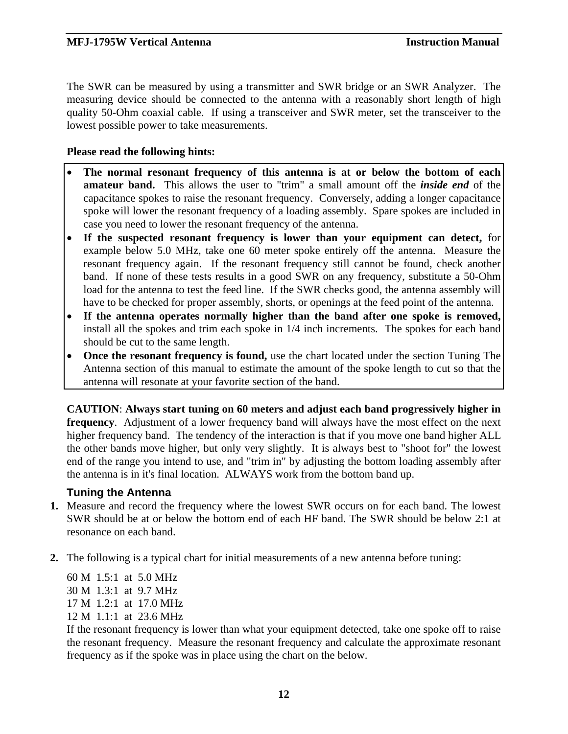The SWR can be measured by using a transmitter and SWR bridge or an SWR Analyzer. The measuring device should be connected to the antenna with a reasonably short length of high quality 50-Ohm coaxial cable. If using a transceiver and SWR meter, set the transceiver to the lowest possible power to take measurements.

#### **Please read the following hints:**

- **The normal resonant frequency of this antenna is at or below the bottom of each amateur band.** This allows the user to "trim" a small amount off the *inside end* of the capacitance spokes to raise the resonant frequency. Conversely, adding a longer capacitance spoke will lower the resonant frequency of a loading assembly. Spare spokes are included in case you need to lower the resonant frequency of the antenna.
- **If the suspected resonant frequency is lower than your equipment can detect,** for example below 5.0 MHz, take one 60 meter spoke entirely off the antenna. Measure the resonant frequency again. If the resonant frequency still cannot be found, check another band. If none of these tests results in a good SWR on any frequency, substitute a 50-Ohm load for the antenna to test the feed line. If the SWR checks good, the antenna assembly will have to be checked for proper assembly, shorts, or openings at the feed point of the antenna.
- **If the antenna operates normally higher than the band after one spoke is removed,** install all the spokes and trim each spoke in 1/4 inch increments. The spokes for each band should be cut to the same length.
- **Once the resonant frequency is found,** use the chart located under the section Tuning The Antenna section of this manual to estimate the amount of the spoke length to cut so that the antenna will resonate at your favorite section of the band.

**CAUTION**: **Always start tuning on 60 meters and adjust each band progressively higher in frequency**. Adjustment of a lower frequency band will always have the most effect on the next higher frequency band. The tendency of the interaction is that if you move one band higher ALL the other bands move higher, but only very slightly. It is always best to "shoot for" the lowest end of the range you intend to use, and "trim in" by adjusting the bottom loading assembly after the antenna is in it's final location. ALWAYS work from the bottom band up.

#### **Tuning the Antenna**

- **1.** Measure and record the frequency where the lowest SWR occurs on for each band. The lowest SWR should be at or below the bottom end of each HF band. The SWR should be below 2:1 at resonance on each band.
- **2.** The following is a typical chart for initial measurements of a new antenna before tuning:

 60 M 1.5:1 at 5.0 MHz 30 M 1.3:1 at 9.7 MHz 17 M 1.2:1 at 17.0 MHz 12 M 1.1:1 at 23.6 MHz

If the resonant frequency is lower than what your equipment detected, take one spoke off to raise the resonant frequency. Measure the resonant frequency and calculate the approximate resonant frequency as if the spoke was in place using the chart on the below.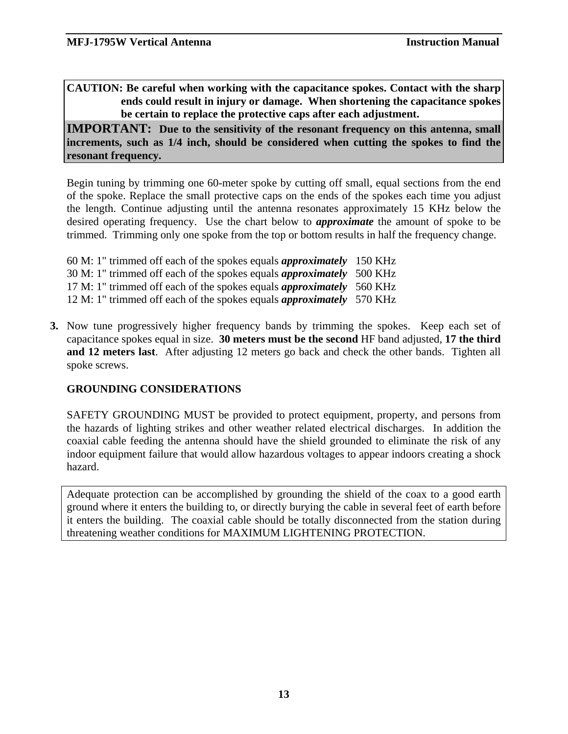**CAUTION: Be careful when working with the capacitance spokes. Contact with the sharp ends could result in injury or damage. When shortening the capacitance spokes be certain to replace the protective caps after each adjustment.** 

**IMPORTANT:** Due to the sensitivity of the resonant frequency on this antenna, small **increments, such as 1/4 inch, should be considered when cutting the spokes to find the resonant frequency.** 

Begin tuning by trimming one 60-meter spoke by cutting off small, equal sections from the end of the spoke. Replace the small protective caps on the ends of the spokes each time you adjust the length. Continue adjusting until the antenna resonates approximately 15 KHz below the desired operating frequency. Use the chart below to *approximate* the amount of spoke to be trimmed. Trimming only one spoke from the top or bottom results in half the frequency change.

- 60 M: 1" trimmed off each of the spokes equals *approximately* 150 KHz 30 M: 1" trimmed off each of the spokes equals *approximately* 500 KHz 17 M: 1" trimmed off each of the spokes equals *approximately* 560 KHz 12 M: 1" trimmed off each of the spokes equals *approximately* 570 KHz
- **3.** Now tune progressively higher frequency bands by trimming the spokes. Keep each set of capacitance spokes equal in size. **30 meters must be the second** HF band adjusted, **17 the third and 12 meters last**. After adjusting 12 meters go back and check the other bands. Tighten all spoke screws.

#### **GROUNDING CONSIDERATIONS**

SAFETY GROUNDING MUST be provided to protect equipment, property, and persons from the hazards of lighting strikes and other weather related electrical discharges. In addition the coaxial cable feeding the antenna should have the shield grounded to eliminate the risk of any indoor equipment failure that would allow hazardous voltages to appear indoors creating a shock hazard.

Adequate protection can be accomplished by grounding the shield of the coax to a good earth ground where it enters the building to, or directly burying the cable in several feet of earth before it enters the building. The coaxial cable should be totally disconnected from the station during threatening weather conditions for MAXIMUM LIGHTENING PROTECTION.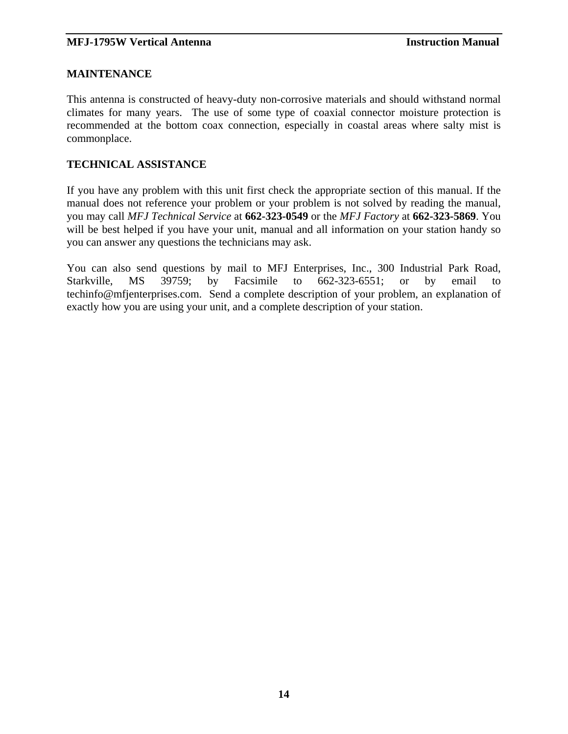#### **MAINTENANCE**

This antenna is constructed of heavy-duty non-corrosive materials and should withstand normal climates for many years. The use of some type of coaxial connector moisture protection is recommended at the bottom coax connection, especially in coastal areas where salty mist is commonplace.

#### **TECHNICAL ASSISTANCE**

If you have any problem with this unit first check the appropriate section of this manual. If the manual does not reference your problem or your problem is not solved by reading the manual, you may call *MFJ Technical Service* at **662-323-0549** or the *MFJ Factory* at **662-323-5869**. You will be best helped if you have your unit, manual and all information on your station handy so you can answer any questions the technicians may ask.

You can also send questions by mail to MFJ Enterprises, Inc., 300 Industrial Park Road, Starkville, MS 39759; by Facsimile to 662-323-6551; or by email to techinfo@mfjenterprises.com. Send a complete description of your problem, an explanation of exactly how you are using your unit, and a complete description of your station.